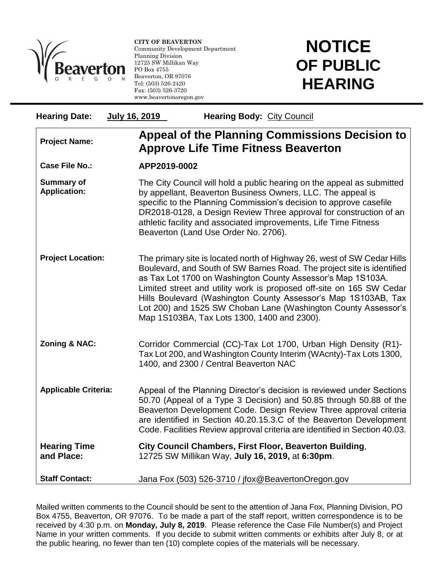

l

**CITY OF BEAVERTON** Community Development Department Planning Division 12725 SW Millikan Way PO Box 4755 Beaverton, OR 97076 Tel: (503) 526-2420 Fax: (503) 526-3720 www.beavertonoregon.gov

## **NOTICE OF PUBLIC HEARING**

| <b>Hearing Date:</b>                     | <b>July 16, 2019</b><br><b>Hearing Body: City Council</b>                                                                                                                                                                                                                                                                                                                                                                                                                   |  |
|------------------------------------------|-----------------------------------------------------------------------------------------------------------------------------------------------------------------------------------------------------------------------------------------------------------------------------------------------------------------------------------------------------------------------------------------------------------------------------------------------------------------------------|--|
| <b>Project Name:</b>                     | Appeal of the Planning Commissions Decision to<br><b>Approve Life Time Fitness Beaverton</b>                                                                                                                                                                                                                                                                                                                                                                                |  |
| <b>Case File No.:</b>                    | APP2019-0002                                                                                                                                                                                                                                                                                                                                                                                                                                                                |  |
| <b>Summary of</b><br><b>Application:</b> | The City Council will hold a public hearing on the appeal as submitted<br>by appellant, Beaverton Business Owners, LLC. The appeal is<br>specific to the Planning Commission's decision to approve casefile<br>DR2018-0128, a Design Review Three approval for construction of an<br>athletic facility and associated improvements, Life Time Fitness<br>Beaverton (Land Use Order No. 2706).                                                                               |  |
| <b>Project Location:</b>                 | The primary site is located north of Highway 26, west of SW Cedar Hills<br>Boulevard, and South of SW Barnes Road. The project site is identified<br>as Tax Lot 1700 on Washington County Assessor's Map 1S103A.<br>Limited street and utility work is proposed off-site on 165 SW Cedar<br>Hills Boulevard (Washington County Assessor's Map 1S103AB, Tax<br>Lot 200) and 1525 SW Choban Lane (Washington County Assessor's<br>Map 1S103BA, Tax Lots 1300, 1400 and 2300). |  |
| Zoning & NAC:                            | Corridor Commercial (CC)-Tax Lot 1700, Urban High Density (R1)-<br>Tax Lot 200, and Washington County Interim (WAcnty)-Tax Lots 1300,<br>1400, and 2300 / Central Beaverton NAC                                                                                                                                                                                                                                                                                             |  |
| <b>Applicable Criteria:</b>              | Appeal of the Planning Director's decision is reviewed under Sections<br>50.70 (Appeal of a Type 3 Decision) and 50.85 through 50.88 of the<br>Beaverton Development Code. Design Review Three approval criteria<br>are identified in Section 40.20.15.3.C of the Beaverton Development<br>Code. Facilities Review approval criteria are identified in Section 40.03.                                                                                                       |  |
| <b>Hearing Time</b><br>and Place:        | City Council Chambers, First Floor, Beaverton Building,<br>12725 SW Millikan Way, July 16, 2019, at 6:30pm.                                                                                                                                                                                                                                                                                                                                                                 |  |
| <b>Staff Contact:</b>                    | Jana Fox (503) 526-3710 / jfox@BeavertonOregon.gov                                                                                                                                                                                                                                                                                                                                                                                                                          |  |

Mailed written comments to the Council should be sent to the attention of Jana Fox, Planning Division, PO Box 4755, Beaverton, OR 97076. To be made a part of the staff report, written correspondence is to be received by 4:30 p.m. on **Monday, July 8, 2019**. Please reference the Case File Number(s) and Project Name in your written comments. If you decide to submit written comments or exhibits after July 8, or at the public hearing, no fewer than ten (10) complete copies of the materials will be necessary.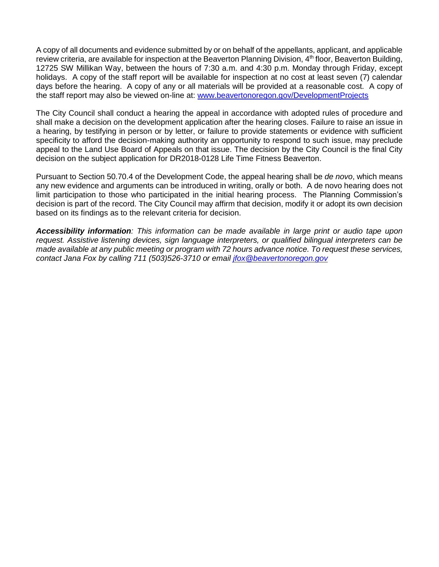A copy of all documents and evidence submitted by or on behalf of the appellants, applicant, and applicable review criteria, are available for inspection at the Beaverton Planning Division, 4<sup>th</sup> floor, Beaverton Building, 12725 SW Millikan Way, between the hours of 7:30 a.m. and 4:30 p.m. Monday through Friday, except holidays. A copy of the staff report will be available for inspection at no cost at least seven (7) calendar days before the hearing. A copy of any or all materials will be provided at a reasonable cost. A copy of the staff report may also be viewed on-line at: [www.beavertonoregon.gov/DevelopmentProjects](http://www.beavertonoregon.gov/DevelopmentProjects)

The City Council shall conduct a hearing the appeal in accordance with adopted rules of procedure and shall make a decision on the development application after the hearing closes. Failure to raise an issue in a hearing, by testifying in person or by letter, or failure to provide statements or evidence with sufficient specificity to afford the decision-making authority an opportunity to respond to such issue, may preclude appeal to the Land Use Board of Appeals on that issue. The decision by the City Council is the final City decision on the subject application for DR2018-0128 Life Time Fitness Beaverton.

Pursuant to Section 50.70.4 of the Development Code, the appeal hearing shall be *de novo*, which means any new evidence and arguments can be introduced in writing, orally or both. A de novo hearing does not limit participation to those who participated in the initial hearing process. The Planning Commission's decision is part of the record. The City Council may affirm that decision, modify it or adopt its own decision based on its findings as to the relevant criteria for decision.

*Accessibility information: This information can be made available in large print or audio tape upon request. Assistive listening devices, sign language interpreters, or qualified bilingual interpreters can be made available at any public meeting or program with 72 hours advance notice. To request these services, contact Jana Fox by calling 711 (503)526-3710 or email [jfox@beavertonoregon.gov](mailto:jfox@beavertonoregon.gov)*